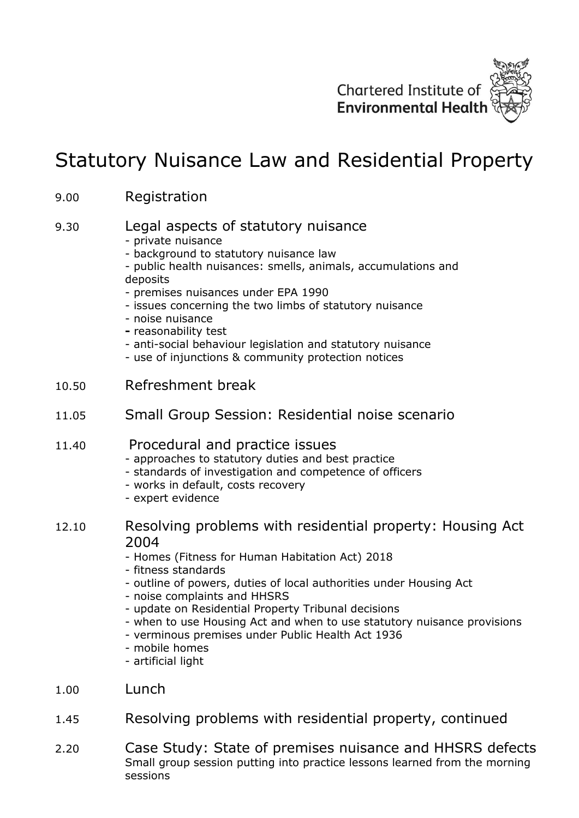

## Statutory Nuisance Law and Residential Property

## 9.00 Registration

## 9.30 Legal aspects of statutory nuisance

- private nuisance
- background to statutory nuisance law
- public health nuisances: smells, animals, accumulations and deposits
- premises nuisances under EPA 1990
- issues concerning the two limbs of statutory nuisance
- noise nuisance
- **-** reasonability test
- anti-social behaviour legislation and statutory nuisance
- use of injunctions & community protection notices
- 10.50 Refreshment break
- 11.05 Small Group Session: Residential noise scenario

## 11.40 Procedural and practice issues

- approaches to statutory duties and best practice
- standards of investigation and competence of officers
- works in default, costs recovery
- expert evidence
- 12.10 Resolving problems with residential property: Housing Act 2004
	- Homes (Fitness for Human Habitation Act) 2018
	- fitness standards
	- outline of powers, duties of local authorities under Housing Act
	- noise complaints and HHSRS
	- update on Residential Property Tribunal decisions
	- when to use Housing Act and when to use statutory nuisance provisions
	- verminous premises under Public Health Act 1936
	- mobile homes
	- artificial light
- 1.00 Lunch
- 1.45 Resolving problems with residential property, continued
- 2.20 Case Study: State of premises nuisance and HHSRS defects Small group session putting into practice lessons learned from the morning sessions